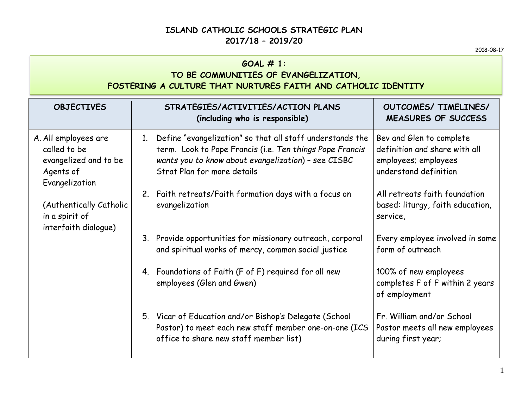#### **ISLAND CATHOLIC SCHOOLS STRATEGIC PLAN 2017/18 – 2019/20**

#### **GOAL # 1:**

### **TO BE COMMUNITIES OF EVANGELIZATION, FOSTERING A CULTURE THAT NURTURES FAITH AND CATHOLIC IDENTITY**

| <b>OBJECTIVES</b>                                                                                                                                                 | STRATEGIES/ACTIVITIES/ACTION PLANS<br>(including who is responsible)                                                                                                                                              | OUTCOMES/ TIMELINES/<br>MEASURES OF SUCCESS                                                                |
|-------------------------------------------------------------------------------------------------------------------------------------------------------------------|-------------------------------------------------------------------------------------------------------------------------------------------------------------------------------------------------------------------|------------------------------------------------------------------------------------------------------------|
| A. All employees are<br>called to be<br>evangelized and to be<br>Agents of<br>Evangelization<br>(Authentically Catholic<br>in a spirit of<br>interfaith dialogue) | Define "evangelization" so that all staff understands the<br>1.<br>term. Look to Pope Francis (i.e. Ten things Pope Francis<br>wants you to know about evangelization) - see CISBC<br>Strat Plan for more details | Bev and Glen to complete<br>definition and share with all<br>employees; employees<br>understand definition |
|                                                                                                                                                                   | Faith retreats/Faith formation days with a focus on<br>2.<br>evangelization                                                                                                                                       | All retreats faith foundation<br>based: liturgy, faith education,<br>service,                              |
|                                                                                                                                                                   | 3. Provide opportunities for missionary outreach, corporal<br>and spiritual works of mercy, common social justice                                                                                                 | Every employee involved in some<br>form of outreach                                                        |
|                                                                                                                                                                   | Foundations of Faith (F of F) required for all new<br>4.<br>employees (Glen and Gwen)                                                                                                                             | 100% of new employees<br>completes F of F within 2 years<br>of employment                                  |
|                                                                                                                                                                   | 5. Vicar of Education and/or Bishop's Delegate (School<br>Pastor) to meet each new staff member one-on-one (ICS<br>office to share new staff member list)                                                         | Fr. William and/or School<br>Pastor meets all new employees<br>during first year;                          |

2018-08-17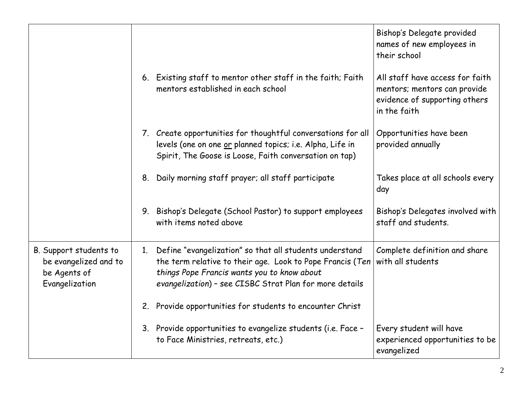|                                                                                   |                                                                                                                                                                                                                                               | Bishop's Delegate provided<br>names of new employees in<br>their school                                          |
|-----------------------------------------------------------------------------------|-----------------------------------------------------------------------------------------------------------------------------------------------------------------------------------------------------------------------------------------------|------------------------------------------------------------------------------------------------------------------|
|                                                                                   | 6. Existing staff to mentor other staff in the faith; Faith<br>mentors established in each school                                                                                                                                             | All staff have access for faith<br>mentors; mentors can provide<br>evidence of supporting others<br>in the faith |
|                                                                                   | 7. Create opportunities for thoughtful conversations for all<br>levels (one on one or planned topics; i.e. Alpha, Life in<br>Spirit, The Goose is Loose, Faith conversation on tap)                                                           | Opportunities have been<br>provided annually                                                                     |
|                                                                                   | Daily morning staff prayer; all staff participate<br>8.                                                                                                                                                                                       | Takes place at all schools every<br>day                                                                          |
|                                                                                   | Bishop's Delegate (School Pastor) to support employees<br>9.<br>with items noted above                                                                                                                                                        | Bishop's Delegates involved with<br>staff and students.                                                          |
| B. Support students to<br>be evangelized and to<br>be Agents of<br>Evangelization | Define "evangelization" so that all students understand<br>$1_{\cdot}$<br>the term relative to their age. Look to Pope Francis (Ten<br>things Pope Francis wants you to know about<br>evangelization) - see CISBC Strat Plan for more details | Complete definition and share<br>with all students                                                               |
|                                                                                   | 2.<br>Provide opportunities for students to encounter Christ                                                                                                                                                                                  |                                                                                                                  |
|                                                                                   | 3. Provide opportunities to evangelize students (i.e. Face -<br>to Face Ministries, retreats, etc.)                                                                                                                                           | Every student will have<br>experienced opportunities to be<br>evangelized                                        |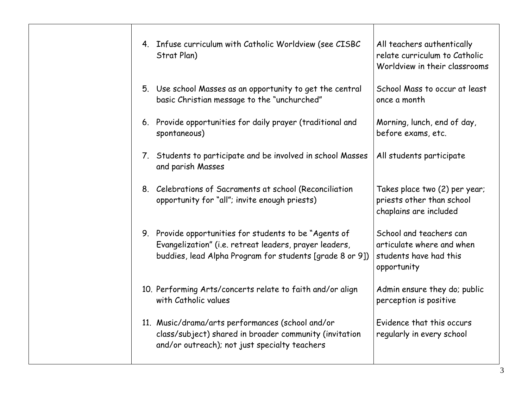| Strat Plan) | 4. Infuse curriculum with Catholic Worldview (see CISBC                                                                                                                      | All teachers authentically<br>relate curriculum to Catholic<br>Worldview in their classrooms  |
|-------------|------------------------------------------------------------------------------------------------------------------------------------------------------------------------------|-----------------------------------------------------------------------------------------------|
|             | 5. Use school Masses as an opportunity to get the central<br>basic Christian message to the "unchurched"                                                                     | School Mass to occur at least<br>once a month                                                 |
|             | 6. Provide opportunities for daily prayer (traditional and<br>spontaneous)                                                                                                   | Morning, lunch, end of day,<br>before exams, etc.                                             |
|             | 7. Students to participate and be involved in school Masses<br>and parish Masses                                                                                             | All students participate                                                                      |
|             | 8. Celebrations of Sacraments at school (Reconciliation<br>opportunity for "all"; invite enough priests)                                                                     | Takes place two (2) per year;<br>priests other than school<br>chaplains are included          |
|             | 9. Provide opportunities for students to be "Agents of<br>Evangelization" (i.e. retreat leaders, prayer leaders,<br>buddies, lead Alpha Program for students [grade 8 or 9]) | School and teachers can<br>articulate where and when<br>students have had this<br>opportunity |
|             | 10. Performing Arts/concerts relate to faith and/or align<br>with Catholic values                                                                                            | Admin ensure they do; public<br>perception is positive                                        |
|             | 11. Music/drama/arts performances (school and/or<br>class/subject) shared in broader community (invitation<br>and/or outreach); not just specialty teachers                  | Evidence that this occurs<br>regularly in every school                                        |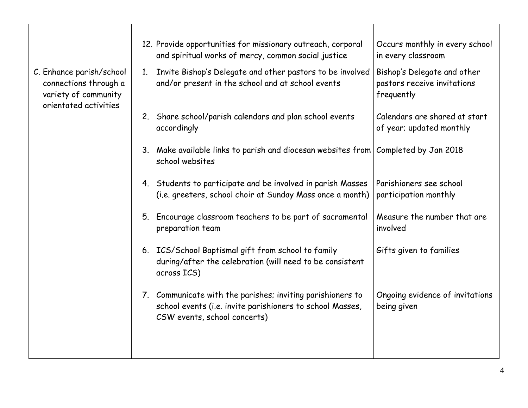|                                                                                                    |                | 12. Provide opportunities for missionary outreach, corporal                                                                                             | Occurs monthly in every school                                           |
|----------------------------------------------------------------------------------------------------|----------------|---------------------------------------------------------------------------------------------------------------------------------------------------------|--------------------------------------------------------------------------|
|                                                                                                    |                | and spiritual works of mercy, common social justice                                                                                                     | in every classroom                                                       |
| C. Enhance parish/school<br>connections through a<br>variety of community<br>orientated activities | 1 <sub>1</sub> | Invite Bishop's Delegate and other pastors to be involved<br>and/or present in the school and at school events                                          | Bishop's Delegate and other<br>pastors receive invitations<br>frequently |
|                                                                                                    | 2.             | Share school/parish calendars and plan school events<br>accordingly                                                                                     | Calendars are shared at start<br>of year; updated monthly                |
|                                                                                                    |                | 3. Make available links to parish and diocesan websites from Completed by Jan 2018<br>school websites                                                   |                                                                          |
|                                                                                                    |                | 4. Students to participate and be involved in parish Masses<br>(i.e. greeters, school choir at Sunday Mass once a month)                                | Parishioners see school<br>participation monthly                         |
|                                                                                                    | 5.             | Encourage classroom teachers to be part of sacramental<br>preparation team                                                                              | Measure the number that are<br>involved                                  |
|                                                                                                    |                | 6. ICS/School Baptismal gift from school to family<br>during/after the celebration (will need to be consistent<br>across ICS)                           | Gifts given to families                                                  |
|                                                                                                    |                | 7. Communicate with the parishes; inviting parishioners to<br>school events (i.e. invite parishioners to school Masses,<br>CSW events, school concerts) | Ongoing evidence of invitations<br>being given                           |
|                                                                                                    |                |                                                                                                                                                         |                                                                          |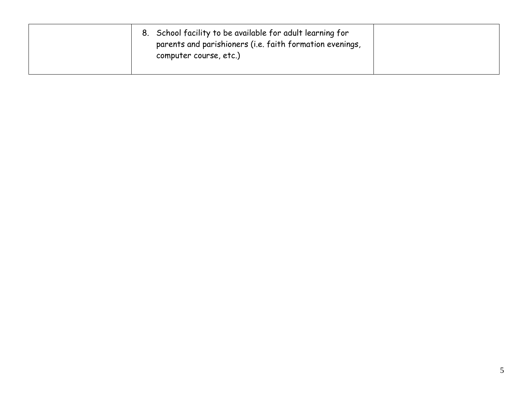| 8. School facility to be available for adult learning for<br>parents and parishioners (i.e. faith formation evenings,<br>computer course, etc.) |  |
|-------------------------------------------------------------------------------------------------------------------------------------------------|--|
|-------------------------------------------------------------------------------------------------------------------------------------------------|--|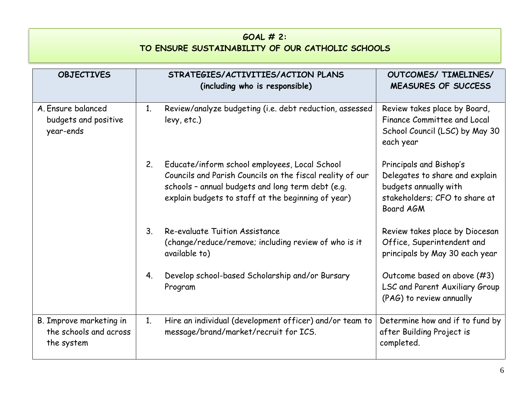## **GOAL # 2: TO ENSURE SUSTAINABILITY OF OUR CATHOLIC SCHOOLS**

| <b>OBJECTIVES</b>                                               |                | STRATEGIES/ACTIVITIES/ACTION PLANS<br>(including who is responsible)                                                                                                                                                  | OUTCOMES/ TIMELINES/<br>MEASURES OF SUCCESS                                                                                      |
|-----------------------------------------------------------------|----------------|-----------------------------------------------------------------------------------------------------------------------------------------------------------------------------------------------------------------------|----------------------------------------------------------------------------------------------------------------------------------|
| A. Ensure balanced<br>budgets and positive<br>year-ends         | 1 <sub>1</sub> | Review/analyze budgeting (i.e. debt reduction, assessed<br>levy, etc.)                                                                                                                                                | Review takes place by Board,<br>Finance Committee and Local<br>School Council (LSC) by May 30<br>each year                       |
|                                                                 | 2.             | Educate/inform school employees, Local School<br>Councils and Parish Councils on the fiscal reality of our<br>schools - annual budgets and long term debt (e.g.<br>explain budgets to staff at the beginning of year) | Principals and Bishop's<br>Delegates to share and explain<br>budgets annually with<br>stakeholders; CFO to share at<br>Board AGM |
|                                                                 | 3 <sub>l</sub> | Re-evaluate Tuition Assistance<br>(change/reduce/remove; including review of who is it<br>available to)                                                                                                               | Review takes place by Diocesan<br>Office, Superintendent and<br>principals by May 30 each year                                   |
|                                                                 | 4.             | Develop school-based Scholarship and/or Bursary<br>Program                                                                                                                                                            | Outcome based on above (#3)<br>LSC and Parent Auxiliary Group<br>(PAG) to review annually                                        |
| B. Improve marketing in<br>the schools and across<br>the system | 1.             | Hire an individual (development officer) and/or team to<br>message/brand/market/recruit for ICS.                                                                                                                      | Determine how and if to fund by<br>after Building Project is<br>completed.                                                       |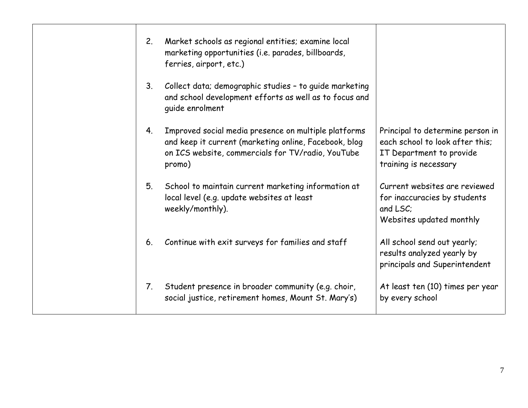| 2.             | Market schools as regional entities; examine local<br>marketing opportunities (i.e. parades, billboards,<br>ferries, airport, etc.)                                          |                                                                                                                          |
|----------------|------------------------------------------------------------------------------------------------------------------------------------------------------------------------------|--------------------------------------------------------------------------------------------------------------------------|
| 3 <sub>1</sub> | Collect data; demographic studies - to guide marketing<br>and school development efforts as well as to focus and<br>quide enrolment                                          |                                                                                                                          |
| 4.             | Improved social media presence on multiple platforms<br>and keep it current (marketing online, Facebook, blog<br>on ICS website, commercials for TV/radio, YouTube<br>promo) | Principal to determine person in<br>each school to look after this;<br>IT Department to provide<br>training is necessary |
| 5.             | School to maintain current marketing information at<br>local level (e.g. update websites at least<br>weekly/monthly).                                                        | Current websites are reviewed<br>for inaccuracies by students<br>and LSC:<br>Websites updated monthly                    |
| 6.             | Continue with exit surveys for families and staff                                                                                                                            | All school send out yearly;<br>results analyzed yearly by<br>principals and Superintendent                               |
| 7.             | Student presence in broader community (e.g. choir,<br>social justice, retirement homes, Mount St. Mary's)                                                                    | At least ten (10) times per year<br>by every school                                                                      |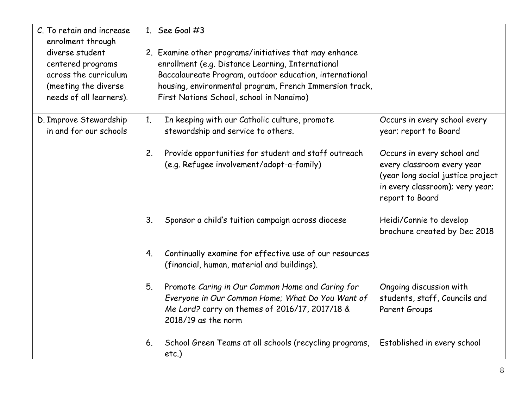| C. To retain and increase<br>enrolment through<br>diverse student<br>centered programs<br>across the curriculum<br>(meeting the diverse<br>needs of all learners). | 1. See Goal $#3$<br>2. Examine other programs/initiatives that may enhance<br>enrollment (e.g. Distance Learning, International<br>Baccalaureate Program, outdoor education, international<br>housing, environmental program, French Immersion track,<br>First Nations School, school in Nanaimo) |                                                                                                                                                     |
|--------------------------------------------------------------------------------------------------------------------------------------------------------------------|---------------------------------------------------------------------------------------------------------------------------------------------------------------------------------------------------------------------------------------------------------------------------------------------------|-----------------------------------------------------------------------------------------------------------------------------------------------------|
| D. Improve Stewardship<br>in and for our schools                                                                                                                   | In keeping with our Catholic culture, promote<br>1 <sub>1</sub><br>stewardship and service to others.                                                                                                                                                                                             | Occurs in every school every<br>year; report to Board                                                                                               |
|                                                                                                                                                                    | 2.<br>Provide opportunities for student and staff outreach<br>(e.g. Refugee involvement/adopt-a-family)                                                                                                                                                                                           | Occurs in every school and<br>every classroom every year<br>(year long social justice project<br>in every classroom); very year;<br>report to Board |
|                                                                                                                                                                    | 3.<br>Sponsor a child's tuition campaign across diocese                                                                                                                                                                                                                                           | Heidi/Connie to develop<br>brochure created by Dec 2018                                                                                             |
|                                                                                                                                                                    | Continually examine for effective use of our resources<br>4.<br>(financial, human, material and buildings).                                                                                                                                                                                       |                                                                                                                                                     |
|                                                                                                                                                                    | 5.<br>Promote Caring in Our Common Home and Caring for<br>Everyone in Our Common Home; What Do You Want of<br>Me Lord? carry on themes of 2016/17, 2017/18 &<br>$2018/19$ as the norm                                                                                                             | Ongoing discussion with<br>students, staff, Councils and<br>Parent Groups                                                                           |
|                                                                                                                                                                    | School Green Teams at all schools (recycling programs,<br>6.<br>etc.)                                                                                                                                                                                                                             | Established in every school                                                                                                                         |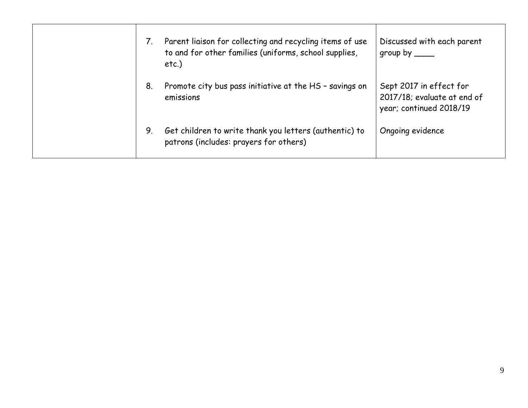|    | Parent liaison for collecting and recycling items of use<br>to and for other families (uniforms, school supplies,<br>etc.) | Discussed with each parent<br>$group by \_\_$                                     |
|----|----------------------------------------------------------------------------------------------------------------------------|-----------------------------------------------------------------------------------|
| 8. | Promote city bus pass initiative at the HS - savings on<br>emissions                                                       | Sept 2017 in effect for<br>2017/18; evaluate at end of<br>year; continued 2018/19 |
| 9. | Get children to write thank you letters (authentic) to<br>patrons (includes: prayers for others)                           | Ongoing evidence                                                                  |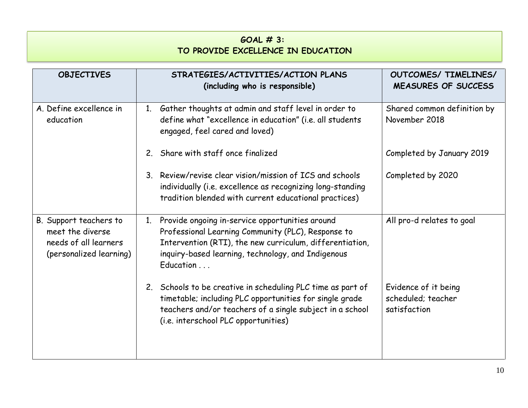# **GOAL # 3: TO PROVIDE EXCELLENCE IN EDUCATION**

| <b>OBJECTIVES</b>                                                                              | STRATEGIES/ACTIVITIES/ACTION PLANS<br>(including who is responsible)                                                                                                                                                                                | OUTCOMES/ TIMELINES/<br><b>MEASURES OF SUCCESS</b>         |
|------------------------------------------------------------------------------------------------|-----------------------------------------------------------------------------------------------------------------------------------------------------------------------------------------------------------------------------------------------------|------------------------------------------------------------|
| A. Define excellence in<br>education                                                           | Gather thoughts at admin and staff level in order to<br>1 <sub>1</sub><br>define what "excellence in education" (i.e. all students<br>engaged, feel cared and loved)                                                                                | Shared common definition by<br>November 2018               |
|                                                                                                | 2. Share with staff once finalized                                                                                                                                                                                                                  | Completed by January 2019                                  |
|                                                                                                | Review/revise clear vision/mission of ICS and schools<br>3 <sub>1</sub><br>individually (i.e. excellence as recognizing long-standing<br>tradition blended with current educational practices)                                                      | Completed by 2020                                          |
| B. Support teachers to<br>meet the diverse<br>needs of all learners<br>(personalized learning) | Provide ongoing in-service opportunities around<br>$1_{\cdot}$<br>Professional Learning Community (PLC), Response to<br>Intervention (RTI), the new curriculum, differentiation,<br>inquiry-based learning, technology, and Indigenous<br>Education | All pro-d relates to goal                                  |
|                                                                                                | 2. Schools to be creative in scheduling PLC time as part of<br>timetable; including PLC opportunities for single grade<br>teachers and/or teachers of a single subject in a school<br>(i.e. interschool PLC opportunities)                          | Evidence of it being<br>scheduled; teacher<br>satisfaction |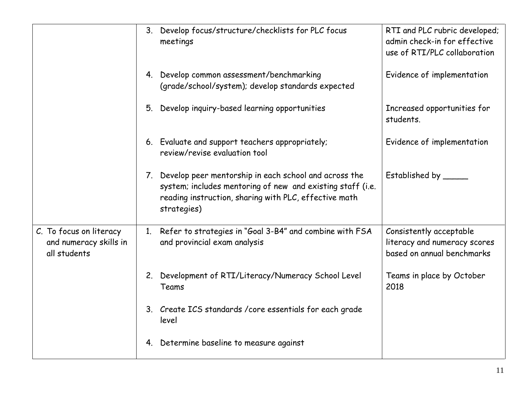|                                                                   | Develop focus/structure/checklists for PLC focus<br>3 <sub>1</sub><br>meetings                                                                                                                    | RTI and PLC rubric developed;<br>admin check-in for effective<br>use of RTI/PLC collaboration |
|-------------------------------------------------------------------|---------------------------------------------------------------------------------------------------------------------------------------------------------------------------------------------------|-----------------------------------------------------------------------------------------------|
|                                                                   | Develop common assessment/benchmarking<br>4.<br>(grade/school/system); develop standards expected                                                                                                 | Evidence of implementation                                                                    |
|                                                                   | Develop inquiry-based learning opportunities<br>5.                                                                                                                                                | Increased opportunities for<br>students.                                                      |
|                                                                   | 6. Evaluate and support teachers appropriately;<br>review/revise evaluation tool                                                                                                                  | Evidence of implementation                                                                    |
|                                                                   | Develop peer mentorship in each school and across the<br>7.<br>system; includes mentoring of new and existing staff (i.e.<br>reading instruction, sharing with PLC, effective math<br>strategies) | Established by _____                                                                          |
| C. To focus on literacy<br>and numeracy skills in<br>all students | Refer to strategies in "Goal 3-B4" and combine with FSA<br>1.<br>and provincial exam analysis                                                                                                     | Consistently acceptable<br>literacy and numeracy scores<br>based on annual benchmarks         |
|                                                                   | 2. Development of RTI/Literacy/Numeracy School Level<br>Teams                                                                                                                                     | Teams in place by October<br>2018                                                             |
|                                                                   | 3. Create ICS standards / core essentials for each grade<br>level                                                                                                                                 |                                                                                               |
|                                                                   | Determine baseline to measure against<br>4.                                                                                                                                                       |                                                                                               |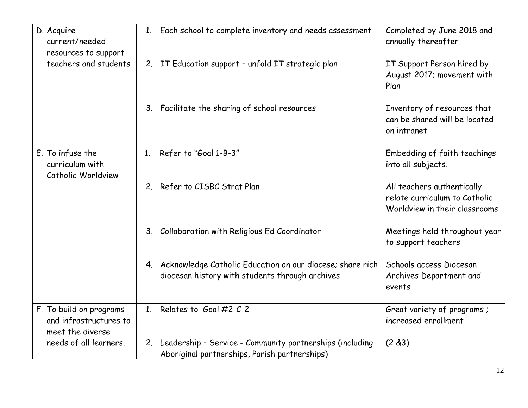| D. Acquire<br>current/needed<br>resources to support                  | 1. Each school to complete inventory and needs assessment                                                       | Completed by June 2018 and<br>annually thereafter                                            |
|-----------------------------------------------------------------------|-----------------------------------------------------------------------------------------------------------------|----------------------------------------------------------------------------------------------|
| teachers and students                                                 | 2. IT Education support - unfold IT strategic plan                                                              | IT Support Person hired by<br>August 2017; movement with<br>Plan                             |
|                                                                       | 3. Facilitate the sharing of school resources                                                                   | Inventory of resources that<br>can be shared will be located<br>on intranet                  |
| E. To infuse the<br>curriculum with<br>Catholic Worldview             | Refer to "Goal 1-B-3"<br>1 <sup>1</sup>                                                                         | Embedding of faith teachings<br>into all subjects.                                           |
|                                                                       | 2. Refer to CISBC Strat Plan                                                                                    | All teachers authentically<br>relate curriculum to Catholic<br>Worldview in their classrooms |
|                                                                       | Collaboration with Religious Ed Coordinator<br>3.                                                               | Meetings held throughout year<br>to support teachers                                         |
|                                                                       | 4. Acknowledge Catholic Education on our diocese; share rich<br>diocesan history with students through archives | Schools access Diocesan<br>Archives Department and<br>events                                 |
| F. To build on programs<br>and infrastructures to<br>meet the diverse | 1. Relates to Goal $#2-C-2$                                                                                     | Great variety of programs ;<br>increased enrollment                                          |
| needs of all learners.                                                | 2. Leadership - Service - Community partnerships (including<br>Aboriginal partnerships, Parish partnerships)    | (2 & 3)                                                                                      |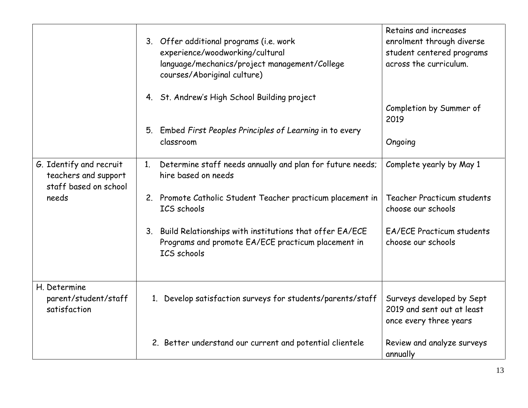|                                                                          | 3. Offer additional programs (i.e. work<br>experience/woodworking/cultural<br>language/mechanics/project management/College<br>courses/Aboriginal culture) | Retains and increases<br>enrolment through diverse<br>student centered programs<br>across the curriculum. |
|--------------------------------------------------------------------------|------------------------------------------------------------------------------------------------------------------------------------------------------------|-----------------------------------------------------------------------------------------------------------|
|                                                                          | 4. St. Andrew's High School Building project                                                                                                               | Completion by Summer of<br>2019                                                                           |
|                                                                          | Embed First Peoples Principles of Learning in to every<br>5.<br>classroom                                                                                  | Ongoing                                                                                                   |
| G. Identify and recruit<br>teachers and support<br>staff based on school | Determine staff needs annually and plan for future needs;<br>1.<br>hire based on needs                                                                     | Complete yearly by May 1                                                                                  |
| needs                                                                    | 2. Promote Catholic Student Teacher practicum placement in<br><b>ICS</b> schools                                                                           | Teacher Practicum students<br>choose our schools                                                          |
|                                                                          | 3. Build Relationships with institutions that offer EA/ECE<br>Programs and promote EA/ECE practicum placement in<br><b>ICS</b> schools                     | EA/ECE Practicum students<br>choose our schools                                                           |
| H. Determine<br>parent/student/staff<br>satisfaction                     | 1. Develop satisfaction surveys for students/parents/staff                                                                                                 | Surveys developed by Sept<br>2019 and sent out at least<br>once every three years                         |
|                                                                          | 2. Better understand our current and potential clientele                                                                                                   | Review and analyze surveys<br>annually                                                                    |